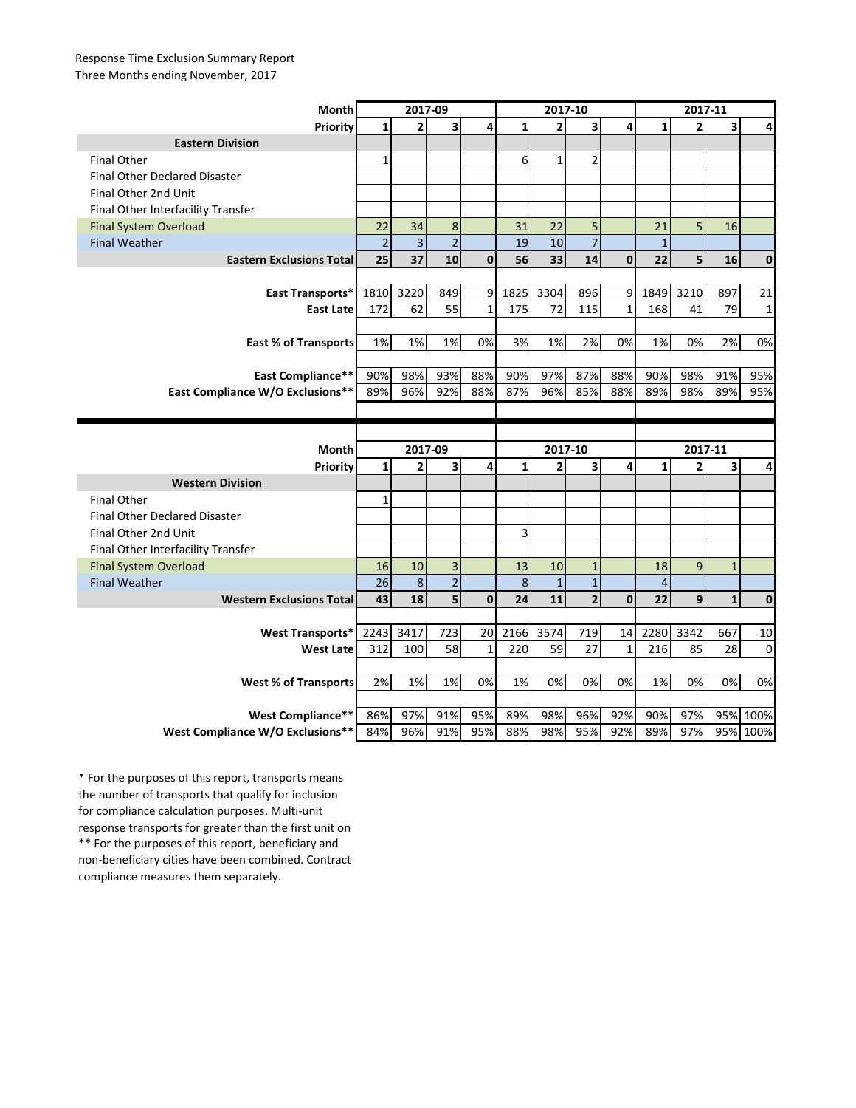## Response Time Exclusion Summary Report Three Months ending November, 2017

| Month                                | 2017-09        |                         |                         |              | 2017-10      |                |                |              | 2017-11      |                |              |                      |
|--------------------------------------|----------------|-------------------------|-------------------------|--------------|--------------|----------------|----------------|--------------|--------------|----------------|--------------|----------------------|
| Priority                             | $\mathbf{1}$   | $\overline{2}$          | $\overline{\mathbf{3}}$ | 4            | $\mathbf{1}$ | $\overline{2}$ | 3              | 4            | $\mathbf{1}$ | $\overline{2}$ | 3            | 4                    |
| <b>Eastern Division</b>              |                |                         |                         |              |              |                |                |              |              |                |              |                      |
| <b>Final Other</b>                   | $\mathbf{1}$   |                         |                         |              | 6            | $\mathbf{1}$   | $\overline{2}$ |              |              |                |              |                      |
| <b>Final Other Declared Disaster</b> |                |                         |                         |              |              |                |                |              |              |                |              |                      |
| Final Other 2nd Unit                 |                |                         |                         |              |              |                |                |              |              |                |              |                      |
| Final Other Interfacility Transfer   |                |                         |                         |              |              |                |                |              |              |                |              |                      |
| <b>Final System Overload</b>         | 22             | 34                      | 8                       |              | 31           | 22             | 5              |              | 21           | 5              | 16           |                      |
| <b>Final Weather</b>                 | $\overline{2}$ | $\overline{\mathbf{3}}$ | $\overline{2}$          |              | 19           | 10             | $\overline{7}$ |              | $\mathbf{1}$ |                |              |                      |
| <b>Eastern Exclusions Total</b>      | 25             | 37                      | 10                      | $\mathbf{0}$ | 56           | 33             | 14             | $\mathbf{0}$ | 22           | 5              | 16           | $\mathbf 0$          |
|                                      |                |                         |                         |              |              |                |                |              |              |                |              |                      |
| East Transports*                     | 1810           | 3220                    | 849                     | 9            | 1825         | 3304           | 896            | 9            | 1849         | 3210           | 897          | 21                   |
| <b>East Late</b>                     | 172            | 62                      | 55                      | $\mathbf{1}$ | 175          | 72             | 115            | $\mathbf 1$  | 168          | 41             | 79           | $\mathbf{1}$         |
|                                      |                |                         |                         |              |              |                |                |              |              |                |              |                      |
| <b>East % of Transports</b>          | 1%             | 1%                      | 1%                      | 0%           | 3%           | 1%             | 2%             | 0%           | 1%           | 0%             | 2%           | 0%                   |
|                                      |                |                         |                         |              |              |                |                |              |              |                |              |                      |
| <b>East Compliance**</b>             | 90%            | 98%                     | 93%                     | 88%          | 90%          | 97%            | 87%            | 88%          | 90%          | 98%            | 91%          | 95%                  |
| East Compliance W/O Exclusions**     | 89%            | 96%                     | 92%                     | 88%          | 87%          | 96%            | 85%            | 88%          | 89%          | 98%            | 89%          | 95%                  |
|                                      |                |                         |                         |              |              |                |                |              |              |                |              |                      |
|                                      |                |                         |                         |              |              |                |                |              |              |                |              |                      |
|                                      |                |                         |                         |              |              |                |                |              |              |                |              |                      |
|                                      |                | 2017-09                 |                         |              |              | 2017-10        |                |              |              | 2017-11        |              |                      |
| Month<br>Priority                    | $\mathbf{1}$   | $\overline{2}$          | 3                       | 4            | $\mathbf{1}$ | $\overline{2}$ | 3              | 4            | $\mathbf{1}$ | $\overline{2}$ | 3            | 4                    |
| <b>Western Division</b>              |                |                         |                         |              |              |                |                |              |              |                |              |                      |
| <b>Final Other</b>                   | $\mathbf{1}$   |                         |                         |              |              |                |                |              |              |                |              |                      |
| <b>Final Other Declared Disaster</b> |                |                         |                         |              |              |                |                |              |              |                |              |                      |
| Final Other 2nd Unit                 |                |                         |                         |              | 3            |                |                |              |              |                |              |                      |
| Final Other Interfacility Transfer   |                |                         |                         |              |              |                |                |              |              |                |              |                      |
| <b>Final System Overload</b>         | 16             | 10                      | $\overline{3}$          |              | 13           | 10             | $\mathbf{1}$   |              | 18           | 9              | $\mathbf{1}$ |                      |
| <b>Final Weather</b>                 | 26             | $\bf 8$                 | $\overline{2}$          |              | 8            | $\mathbf{1}$   | $\mathbf{1}$   |              | 4            |                |              |                      |
| <b>Western Exclusions Total</b>      | 43             | 18                      | 5                       | $\mathbf 0$  | 24           | 11             | $\overline{2}$ | $\mathbf 0$  | 22           | 9              | $\mathbf 1$  | $\pmb{0}$            |
|                                      |                |                         |                         |              |              |                |                |              |              |                |              |                      |
| <b>West Transports*</b>              | 2243           | 3417                    | 723                     | 20           | 2166         | 3574           | 719            | 14           | 2280         | 3342           | 667          | 10                   |
| <b>West Late</b>                     | 312            | 100                     | 58                      | $\mathbf{1}$ | 220          | 59             | 27             | 1            | 216          | 85             | 28           | $\mathbf 0$          |
|                                      |                |                         |                         |              |              |                |                |              |              |                |              |                      |
| <b>West % of Transports</b>          | 2%             | 1%                      | 1%                      | 0%           | 1%           | 0%             | 0%             | 0%           | 1%           | 0%             | 0%           | 0%                   |
|                                      |                |                         |                         |              |              |                |                |              |              |                |              |                      |
| <b>West Compliance**</b>             | 86%            | 97%                     | 91%                     | 95%          | 89%          | 98%            | 96%            | 92%          | 90%          | 97%            |              | 95% 100%<br>95% 100% |

\*\* For the purposes of this report, beneficiary and non-beneficiary cities have been combined. Contract compliance measures them separately. \* For the purposes of this report, transports means the number of transports that qualify for inclusion for compliance calculation purposes. Multi-unit response transports for greater than the first unit on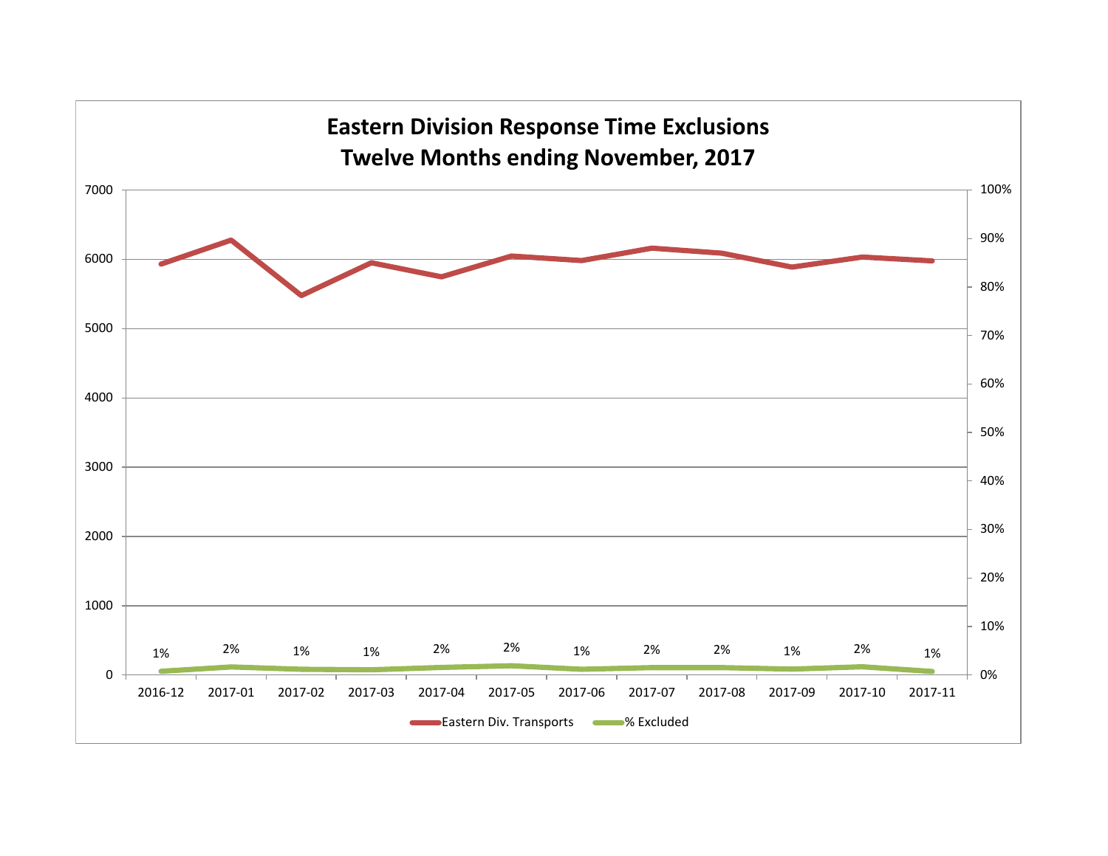